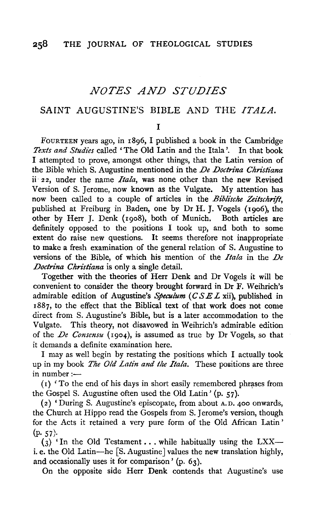# *NOTES AND STUDIES*

# SAINT AUGUSTINE'S BIBLE AND THE *ITALA*.

I

FouRTEEN years ago, in r8g6, I published a book in the Cambridge *Texts and Studies* called 'The Old Latin and the Itala '. In that book I attempted to prove, amongst other things, that the Latin version of the Bible which S. Augustine mentioned in the *De Doctrina Christiana*  ii 22, under the name *Itala,* was none other than the new Revised Version of S. Jerome, now known as the Vulgate. My attention has now been called to a couple of articles in the *Biblische Zeitschrift*, published at Freiburg in Baden, one by Dr H. J. Vogels (rgo6), the other by Herr J. Denk (rgo8), both of Munich. Both articles are definitely opposed to the positions I took up, and both to some extent do raise new questions. It seems therefore not inappropriate to make a fresh examination of the general relation of S. Augustine to versions of the Bible, of which his mention of the *Itala* in the *De Doctrina Christiana* is only a single detail.

Together with the theories of Herr Denk and Dr Vogels it will be convenient to consider the theory brought forward in Dr F. Weihrich's admirable edition of Augustine's *Speculum* (CS *EL* xii), published in r887, to the effect that the Biblical text of that work does not come direct from S. Augustine's Bible, but is a later accommodation to the Vulgate. This theory, not disavowed in Weihrich's admirable edition of the *De Consensu* (rgo4), is assumed as true by Dr Vogels, so that it demands a definite examination here.

I may as well begin by restating the positions which I actually took up in my book *The Old Latin and the Itala*. These positions are three in number: $-$ 

( r) 'To the end of his days in short easily remembered phrases from the GospelS. Augustine often used the Old Latin' (p. 57).

( 2) ' During S. Augustine's episcopate, from about A. D. 400 onwards, the Church at Hippo read the Gospels from S. Jerome's version, though for the Acts it retained a very pure form of the Old African Latin'  $(p. 57)$ .

 $(3)$  'In the Old Testament ... while habitually using the LXX-i. e. the Old Latin-he [S. Augustine] values the new translation highly, and occasionally uses it for comparison' (p. 63).

On the opposite side Herr Denk contends that Augustine's use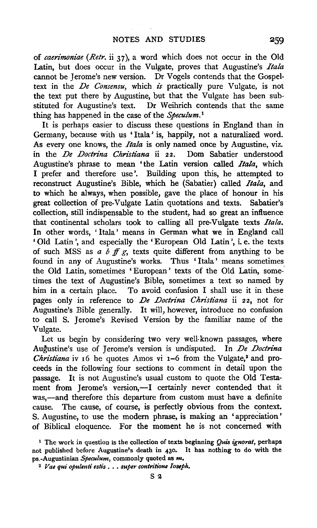of *caerimoniae (Retr.* ii 37), a word which does not occur in the Old Latin, but does occur in the Vulgate, proves that Augustine's *Itala*  cannot be Jerome's new version. Dr Vogels contends that the Gospeltext in the *De Consensu*, which *is* practically pure Vulgate, is not the text put there by Augustine, but that the Vulgate has been substituted for Augustine's text. Dr Weihrich contends that the same thing has happened in the case of the *Speculum. <sup>1</sup>*

It is perhaps easier to discuss these questions in England than in Germany, because with us 'Itala' is, happily, not a naturalized word. As every one knows, the *Itala* is only named once by Augustine, viz. in the *De Doctrina Christiana* ii 22. Dom Sabatier understood Augustine's phrase to mean 'the Latin version called *Ita/a,* which I prefer and therefore use'. Building upon this, he attempted to reconstruct Augustine's Bible, which he (Sabatier) called *Itala,* and to which he always, when possible, gave the place of honour in his great collection of pre-Vulgate Latin quotations and texts. Sabatier's collection, still indispensable to the student, had so great an influence that continental scholars took to calling all pre-Vulgate texts *Itala.*  In other words, ' Itala' means in German what we in England call 'Old Latin', and especially the 'European Old Latin', i.e. the texts of such MSS as  $a \, b \, ff \, g$ , texts quite different from anything to be found in any of Augustine's works. Thus ' Itala' means sometimes the Old Latin, sometimes ' European' texts of the Old Latin, sometimes the text of Augustine's Bible, sometimes a text so named by him in a certain place. To avoid confusion I shall use it in these pages only in reference to *De Doctrina Christiana* ii 22, not for Augustine's Bible generally. It will, however, introduce no confusion to call S. Jerome's Revised Version by the familiar name of the Vulgate.

Let us begin by considering two very well-known passages, where Augustine's use of Jerome's version is undisputed. In *De Doctrina Christiana* iv 16 he quotes Amos vi 1-6 from the Vulgate,<sup>2</sup> and proceeds in the following four sections to comment in detail upon the passage. It is not Augustine's usual custom to quote the Old Testament from Jerome's version,-I certainly never contended that it was,-and therefore this departure from custom must have a definite cause. The cause, of course, is perfectly obvious from the context. S. Augustine, to use the modem phrase, is making an 'appreciation' of Biblical eloquence. For the moment he is not concerned with

<sup>1</sup> The work in question is the collection of texts beginning *Quis ignorat,* perhaps not published before Augustine's death in 430. It has nothing to do with the ps.-Augustinian *Speculum,* commonly quoted as *m.* 

<sup>2</sup>*Vae qui opulenti estis* ..• *super contritione Iostph.*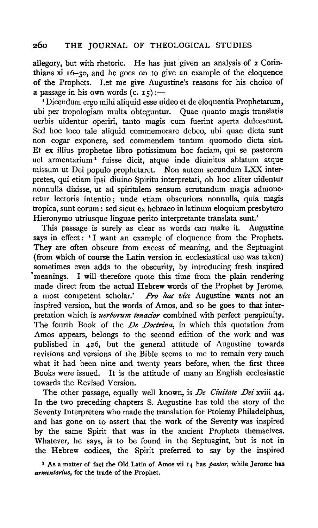allegory, but with rhetoric. He has just given an analysis of 2 Corinthians xi r6-3o, and he goes on to give an example of the eloquence of the Prophets. Let me give Augustine's reasons for his choice of a passage in his own words  $(c. 15)$  :-

' Dicendum ergo mihi aliquid esse uideo et de eloquentia Prophetarum, ubi per tropologiam multa obteguntur. Quae quanto magis translatis uerbis uidentur operiri, tanto magis cum fuerint aperta dulcescunt. Sed hoc loco tale aliquid commemorare debeo, ubi quae dicta sunt non cogar exponere, sed commendem tantum quomodo dicta sint. Et ex illius prophetae libro potissimum hoc faciam, qui se pastorem uel armentarium 1 fuisse dicit, atque inde diuinitus ablatum atque missum ut Dei populo prophetaret. Non autem secundum LXX interpretes, qui etiam ipsi diuino Spiritu interpretati, ob hoc aliter uidentur nonnulla dixisse, ut ad spiritalem sensum scrutandum magis admone· retur lectoris intentio; unde etiam obscuriora nonnulla, quia magis tropica, sunt eorum: sed sicut ex hebraeo in latinum eloquium presbytero Hieronymo utriusque linguae perito interpretante translata sunt.'

This passage is surely as clear as words can make it. Augustine says in effect: 'I want an example of eloquence from the Prophets. They are often obscure from excess of meaning, and the Septuagint (from which of course the Latin version in ecclesiastical use was taken) sometimes even adds to the obscurity, by introducing fresh inspired • meanings. I will therefore quote this time from the plain rendering made direct from the actual Hebrew words of the Prophet by Jerome, a most competent scholar.' *Pro hac vice* Augustine wants not an inspired version, but the words of Amos, and so he goes to that interpretation which is *uerborum tenacior* combined with perfect perspicuity. The fourth Book of the *De Doctrina,* in which this quotation from Amos appears, belongs to the second edition of the work and was published in 426, but the general attitude of Augustine towards revisions and versions of the Bible seems to me to remain very much what it had been nine and twenty years before, when the first three Books were issued. It is the attitude of many an English ecclesiastic towards the Revised Version.

The other passage, equally well known, is *De Ciuitate Dei* xviii 44· In the two preceding chapters S. Augustine has told the story of the Seventy Interpreters who made the translation for Ptolemy Philadelphus, and has gone on to assert that the work of the Seventy was inspired by the same Spirit that was in the ancient Prophets themselves. Whatever, he says, is to be found in the Septuagint, but is not in the Hebrew codices, the Spirit preferred to say by the inspired

<sup>1</sup> As a matter of fact the Old Latin of Amos vii 14 has *pastor*, while Jerome has *armentarius,* for the trade of the Prophet.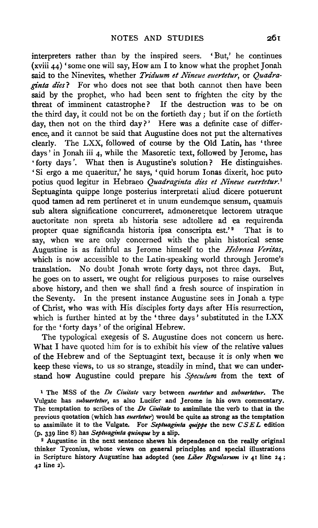interpreters rather than by the inspired seers. 'But,' he continues (xviii  $44$ ) 'some one will say, How am I to know what the prophet Jonah said to the Ninevites, whether *Triduum et Nineue euertetur*, or *Quadraginta dies?* For who does not see that both cannot then have been said by the prophet, who had been sent to frighten the city by the threat of imminent catastrophe? If the destruction was to be on the third day, it could not be on the fortieth day; but if on the fortieth day, then not on the third day?' Here was a definite case of difference, and it cannot be said that Augustine does not put the alternatives clearly. The LXX, followed of course by the Old Latin, has 'three days' in Jonah iii 4, while the Masoretic text, followed by Jerome, has • forty days'. What then is Augustine's solution? He distinguishes. 'Si ergo a me quaeritur,' he says, 'quid horum Ionas dixerit, hoc puto potius quod legitur in Hebraeo *Quadraginta dies et Nineue euertetur.* <sup>1</sup> Septuaginta quippe longe posterius interpretati aliud dicere potuerunt quod tamen ad rem pertineret et in unum eundemque sensum, quamuis sub altera significatione concurreret, admoneretque lectorem utraque auctoritate non spreta ab historia sese adtollere ad ea requirenda propter quae significanda historia ipsa conscripta est.'<sup>2</sup> That is to say, when we are only concerned with the plain historical sense Augustine is as faithful as Jerome himself to the *Hebraea Veritas*, which is now accessible to the Latin-speaking world through Jerome's translation. No doubt Jonah wrote forty days, not three days. But, he goes on to assert, we ought for religious purposes to raise ourselves above history, and then we shall find a fresh source of inspiration in the Seventy. In the present instance Augustine sees in Jonah a type of Christ, who was with His disciples forty days after His resurrection, which is further hinted at by the 'three days' substituted in the LXX for the ' forty days ' of the original Hebrew.

The typological exegesis of S. Augustine does not concern us here. What I have quoted him for is to exhibit his view of the relative values of the Hebrew and of the Septuagint text, because it is only when we keep these views, to us so strange, steadily in mind, that we can understand how Augustine could prepare his *Speculum* from the text of

1 The MSS of the *De Ciuitate* vary between *euertetur* and *subuertetur.* The Vulgate has *subuertetur,* as also Lucifer and Jerome in his own commentary. The temptation to scribes of the *De Ciuitate* to assimilate the verb to that in the previous quotation (which has *euertetur)* would be quite as strong as the temptation to assimilate it to the Vulgate. For *Septuaginta quippe* the new *CS EL* edition

<sup>2</sup> Augustine in the next sentence shews his dependence on the really original thinker Tyconius, whose views on general principles and special illustrations in Scripture history Augustine has adopted (see *Liber Regularum* iv 41 line 24 ; 42 line 2).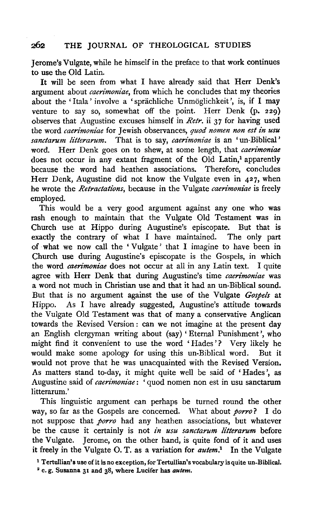Jerome's Vulgate, while he himself in the preface to that work continues to use the Old Latin.

It will be seen from what I have already said that Herr Denk's argument about *caerimoniae,* from which he concludes that my theories about the 'Itala' involve a 'sprächliche Unmöglichkeit', is, if I may venture to say so, somewhat off the point. Herr Denk (p. 229) observes that Augustine excuses himself in *Retr*, ii 37 for having used the word *caerimoniae* for Jewish observances, *quod nomen non est in usu sanctarum litterarum.* That is to say, *caerimoniae* is an 'un-Biblical' word. Herr Denk goes on to shew, at some length, that *caerimoniae*  does not occur in any extant fragment of the Old Latin,<sup>1</sup> apparently because the word had heathen associations. Therefore, concludes Herr Denk, Augustine did not know the Vulgate even in 427, when he wrote the *Retractations*, because in the Vulgate *caerimoniae* is freely employed.

This would be a very good argument against any one who was rash enough to maintain that the Vulgate Old Testament was in Church use at Hippo during Augustine's episcopate. But that is exactly the contrary of what I have maintained. The only part of what we now call the 'Vulgate' that I imagine to have been in Church use during Augustine's episcopate is the Gospels, in which the word *caerimoniae* does not occur at all in any Latin text. I quite agree with Herr Denk that during Augustine's time *caerimoniae* was a word not much in Christian use and that it had an un-Biblical sound. But that is no argument against the use of the Vulgate *Gospels* at Hippo. As I have already suggested, Augustine's attitude towards the Vulgate Old Testament was that of many a conservative Anglican towards the Revised Version : can we not imagine at the present day an English clergyman writing about (say) 'Eternal Punishment', who might find it convenient to use the word 'Hades'? Very likely he would make some apology for using this un-Biblical word. But it would not prove that he was unacquainted with the Revised Version. As matters stand to-day, it might quite well be said of 'Hades', as Augustine said of *caerimoniae:* ' quod nomen non est in usu sanctarum litterarum.'

This linguistic argument can perhaps be turned round the other way, so far as the Gospels are concerned. What about *porro?* I do not suppose that *porro* had any heathen associations, but whatever be the cause it certainly is not *in usu sanctarum litterarum* before the Vulgate. Jerome, on the other hand, is quite fond of it and uses it freely in the Vulgate 0. T. as a variation for *autem.1* In the Vulgate

1 Tertullian's use of it is no exception, for Tertullian's vocabulary is quite un-Biblical.

• e. g. Susanna 31 and 38, where Lucifer has *autem.*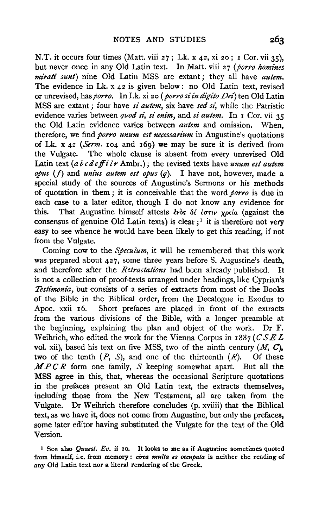N.T. it occurs four times (Matt. viii 27; Lk. x 42, xi 20; I Cor. vii 35), but never once in any Old Latin text. In Matt. viii 27 (porro homines *mirati sunt)* nine Old Latin MSS are extant; they all have *autem.*  The evidence in Lk. x 42 is given below: no Old Latin text, revised or unrevised, has *porro.* In Lk. xi 20 *(porro si in digito Dei)* ten Old Latin MSS are extant; four have *si autem*, six have *sed si*, while the Patristic evidence varies between *quod si, si enim,* and *si autem.* In 1 Cor. vii 35 the Old Latin evidence varies between *autem* and omission. When, therefore, we find *porro unum est necessarium* in Augustine's quotations of Lk. x 42 *(Serm.* 104 and 169) we may be sure it is derived from the Vulgate. The whole clause is absent from every unrevised Old Latin text (a b c de ff i l r Ambr.); the revised texts have *unum est autem*  $opus$  (f) and *unius autem est opus*  $(q)$ . I have not, however, made a special study of the sources of Augustine's Sermons or his methods of quotation in them ; it is conceivable that the word *porro* is due in each case to a later editor, though I do not know any evidence for this. That Augustine himself attests  $\epsilon v \delta s$   $\delta \epsilon \epsilon \sigma \tau v$  *your a lagainst the* consensus of genuine Old Latin texts) is clear;<sup>1</sup> it is therefore not very easy to see whence he would have been likely to get this reading, if not from the Vulgate.

Coming now to the *Speculum,* it will be remembered that this work was prepared about 427, some three years before S. Augustine's death, and therefore after the *Retractations* had been already published. It is not a collection of proof-texts arranged under headings, like Cyprian's *Testimonia,* but consists of a series of extracts from most of the Books of the Bible in the Biblical order, from the Decalogue in Exodus to Apoc. xxii 16. Short prefaces are placed in front of the extracts from the various divisions of the Bible, with a longer preamble at the beginning, explaining the plan and object of the work. Dr F. Weihrich, who edited the work for the Vienna Corpus in 1887 (CSEL vol. xii), based his text on five MSS, two of the ninth century  $(M, C)$ , two of the tenth  $(P, S)$ , and one of the thirteenth  $(R)$ . Of these *MP C R* form one family, *S* keeping somewhat apart. But all the MSS agree in this, that, whereas the occasional Scripture quotations in the prefaces present an Old Latin text, the extracts themselves, including those from the New Testament, all are taken from the Vulgate. Dr Weihrich therefore concludes (p. xviiii) that the Biblical text, as we have it, does not come from Augustine, but only the prefaces, some later editor having substituted the Vulgate for the text of the Old Version.

<sup>1</sup> See also *Quaest. Ev.* ii 20. It looks to me as if Augustine sometimes quoted from himself, i.e. from memory: *circa multa es occupata* is neither the reading of any Old Latin text nor a literal rendering of the Greek.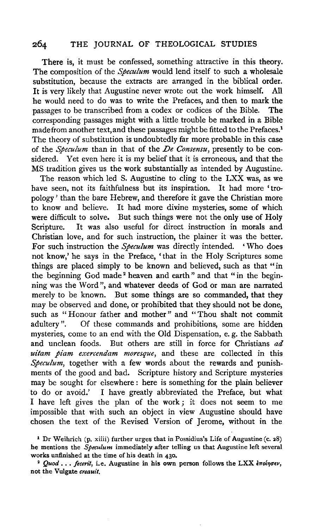There is, it must be confessed, something attractive in this theory. The composition of the *Speculum* would lend itself to such a wholesale substitution, because the extracts are arranged in the biblical order. It is very likely that Augustine never wrote out the work himself. All he would need to do was to write the Prefaces, and then to mark the passages to be transcribed from a codex or codices of the Bible. The corresponding passages might with a little trouble be marked in a Bible made from another text, and these passages might be fitted to the Prefaces.<sup>1</sup> The theory of substitution is undoubtedly far more probable in this case of the *Speculum* than in that of the *De Consensu,* presently to be considered. Yet even here it is my belief that it is erroneous, and that the MS tradition gives us the work substantially as intended by Augustine.

The reason which led S. Augustine to cling to the LXX was, as we have seen, not its faithfulness but its inspiration. It had more 'tropology ' than the bare Hebrew, and therefore it gave the Christian more to know and believe. It had more divine mysteries, some of which were difficult to solve. But such things were not the only use of Holy Scripture. It was also useful for direct instruction in morals and Christian love, and for such instruction, the plainer it was the better. For such instruction the *Speculum* was directly intended. 'Who does not know,' he says in the Preface, 'that in the Holy Scriptures some things are placed simply to be known and believed, such as that "in the beginning God made<sup>2</sup> heaven and earth" and that "in the beginning was the Word", and whatever deeds of God or man are narrated merely to be known. But some things are so commanded, that they may be observed and done, or prohibited that they should not be done, such as "Honour father and mother" and "Thou shalt not commit adultery". Of these commands and prohibitions, some are hidden Of these commands and prohibitions, some are hidden mysteries, come to an end with the Old Dispensation, e. g. the Sabbath and unclean foods. But others are still in force for Christians *ad uitam piam exercendam moresque,* and these are collected in this *Speculum,* together with a few words about the rewards and punishments of the good and bad. Scripture history and Scripture mysteries may be sought for elsewhere : here is something for the plain believer to do or avoid.' I have greatly abbreviated the Preface, but what I have left gives the plan of the work; it does not seem to me impossible that with such an object in view Augustine should have chosen the text of the Revised Version of Jerome, without in the

<sup>1</sup> Dr Weihrich (p. xiiii) further urges that in Possidius's Life of Augustine (c. 28) he mentions the *Speculum* immediately after telling us that Augustine left several works unfinished at the time of his death in 430.

<sup>&</sup>lt;sup>2</sup> *Quod ... fecerit*, i.e. Augustine in his own person follows the LXX  $\epsilon \pi o i \eta \sigma \epsilon \nu$ , not the Vulgate *creauit.*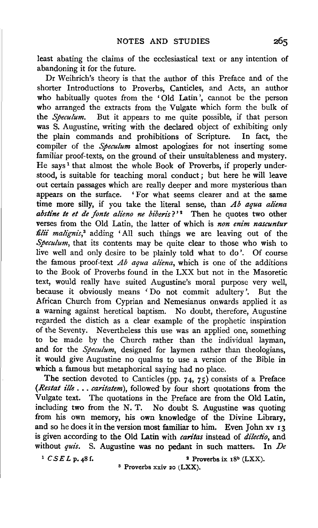least abating the claims of the ecclesiastical text or any intention of abandoning it for the future.

Dr Weihrich's theory is that the author of this Preface and of the shorter Introductions to Proverbs, Canticles, and Acts, an author who habitually quotes from the 'Old Latin', cannot be the person who arranged the extracts from the Vulgate which form the bulk of the *Speculum.* But it appears to me quite possible, if that person was S. Augustine, writing with the declared object of exhibiting only the plain commands and prohibitions of Scripture. In fact, the compiler of the *Speculum* almost apologizes for not inserting some familiar proof-texts, on the ground of their unsuitableness and mystery. He says<sup>1</sup> that almost the whole Book of Proverbs, if properly understood, is suitable for teaching moral conduct ; but here he will leave out certain passages which are really deeper and more mysterious than appears on the surface. 'For what seems clearer and at the same time more silly, if you take the literal sense, than *Ab aqua aliena abstine te et de fonte alieno ne biberis?'*<sup>2</sup> Then he quotes two other verses from the Old Latin, the latter of which is *non enim nascuntur*  filii malignis,<sup>3</sup> adding 'All such things we are leaving out of the *Speculum*, that its contents may be quite clear to those who wish to live well and only desire to be plainly told what to do'. Of course the famous proof-text *Ab aqua aliena,* which is one of the additions to the Book of Proverbs found in the LXX but not in the Masoretic text, would really have suited Augustine's moral purpose very well, because it obviously means 'Do not commit adultery'. But the African Church from Cyprian and Nemesianus onwards applied it as a warning against heretical baptism. No doubt, therefore, Augustine regarded the distich as a clear example of the prophetic inspiration of the Seventy. Nevertheless this use was an applied one, something to be made by the Church rather than the individual layman, and for the *Speculum,* designed for laymen rather than theologians, it would give Augustine no qualms to use a version of the Bible in which a famous but metaphorical saying had no place.

The section devoted to Canticles (pp. 74, 75) consists of a Preface *(Restat ille .* .. *caritatem),* followed by four short quotations from the Vulgate text. The quotations in the Preface are from the Old Latin, including two from the N. T. No doubt S. Augustine was quoting from his own memory, his own knowledge of the Divine Library, and so he does it in the version most familiar to him. Even John xv 13 is given according to the Old Latin with *caritas* instead of *dilectio,* and without *quis.* S. Augustine was no pedant in such matters. In *De* 

<sup>1</sup>  $CSEL$  p. 48 f.  $\qquad \qquad$  **2** Proverbs ix 18<sup>b</sup> (LXX).

s Proverbs xxiv 20 (LXX).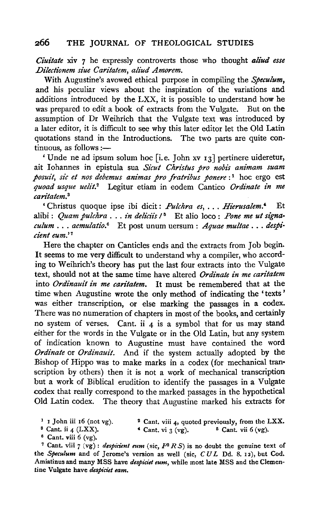*Ciuitate* xiv 7 he expressly controverts those who thought *aliud esse Dilectionem siue Caritatem, aliud Amorem.* 

With Augustine's avowed ethical purpose in compiling the *Speculum,*  and his peculiar views about the inspiration of the variations and additions introduced by the LXX, it is possible to understand how he was prepared to edit a book of extracts from the Vulgate. But on the was prepared to edit a book of extracts from the Vulgate. assumption of Dr Weihrich that the Vulgate text was introduced by a later editor, it is difficult to see why this later editor let the Old Latin quotations stand in the Introductions. The two parts are quite con $tinuous, as follows: \doteq$ 

' Unde ne ad ipsum solum hoc [i.e. John xv 13] pertinere uideretur, ait Iohannes in epistula sua *Sicut Christus pro nobis animam suam posuit, sic et nos debemus animas pro fratribus ponere* :<sup>1</sup> hoc ergo est *quoad usque uelit.* 2 Legitur etiam in eodem Cantico *Ordinate in me caritatem.* <sup>8</sup>

'Christus quoque ipse ibi dicit: *Pulchra es,* ... *Hierusalem.'* Et alibi : *Quam pulchra* . . . *in deliciis*  $\ell^5$  Et alio loco : *Pone me ut signaculum* ... *aemulatio.6* Et post unum uersum: *Aquae multae .* .. *despi· dent eum.' <sup>7</sup>*

Here the chapter on Canticles ends and the extracts from Job begin. It seems to me very difficult to understand why a compiler, who according to Weihrich's theory has put the last four extracts into the Vulgate text, should not at the same time have altered *Ordinate in me caritatem*  into *Ordinauit in me caritatem.* It must be remembered that at the time when Augustine wrote the only method of indicating the 'texts ' was either transcription, or else marking the passages in a codex. There was no numeration of chapters in most of the books, and certainly no system of verses. Cant. ii  $4$  is a symbol that for us may stand either for the words in the Vulgate or in the Old Latin, but any system of indication known to Augustine must have contained the word *Ordinate* or *Ordinauit.* And if the system actually adopted by the Bishop of Hippo was to make marks in a codex (for mechanical tran• scription by others) then it is not a work of mechanical transcription but a work of Biblical erudition to identify the passages in a Vulgate codex that really correspond to the marked passages in the hypothetical Old Latin codex. The theory that Augustine marked his extracts for

- $<sup>1</sup>$  I John iii 16 (not vg).</sup>
- <sup>2</sup> Cant. viii 4, quoted previously, from the LXX.  $\overline{\phantom{a}}^*$  Cant. vii  $3$  (vg).  $\overline{\phantom{a}}^5$  Cant. vii  $6$  (vg).
- $s$  Cant. ii 4 (LXX).
- $6$  Cant. viii 6 (vg).

<sup>7</sup> Cant. viii  $7$  (vg): *despicient eum* (sic,  $P^2$  R S) is no doubt the genuine text of the *Speculum* and of Jerome's version as well (sic, *C U L* Dd. 8. 12), but Cod. Amiatinus and many MSS have *despiciet eum,* while most late MSS and the Clementine Vulgate have *despiciet eam.*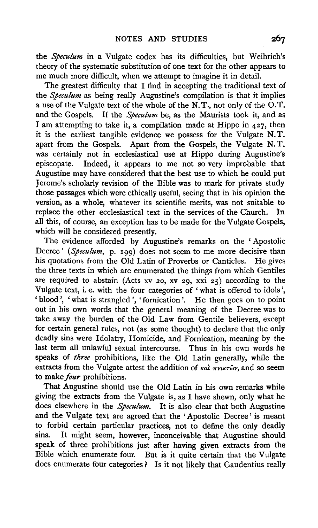the *Speculum* in a Vulgate codex has its difficulties, but Weihrich's theory of the systematic substitution of one text for the other appears to me much more difficult, when we attempt to imagine it in detail.

The greatest difficulty that I find in accepting the traditional text of the *Speculum* as being really Augustine's compilation is that it implies a use of the Vulgate text of the whole of the N. T., not only of the 0. T. and the Gospels. If the *Speculum* be, as the Maurists took it, and as I am attempting to take it, a compilation made at Hippo in 427, then it is the earliest tangible evidence we possess for the Vulgate N. T. apart from the Gospels. Apart from the Gospels, the Vulgate N. T. was certainly not in ecclesiastical use at Hippo during Augustine's episcopate. Indeed, it appears to me not so very improbable that Augustine may have considered that the best use to which he could put Jerome's scholarly revision of the Bible was to mark for private study those passages which were ethically useful, seeing that in his opinion the version, as a whole, whatever its scientific merits, was not suitable to replace the other ecclesiastical text in the services of the Church. In all this, of course, an exception has to be made for the Vulgate Gospels, which will be considered presently.

The evidence afforded by Augustine's remarks on the ' Apostolic Decree' *(Speculum, p. 199)* does not seem to me more decisive than his quotations from the Old Latin of Proverbs or Canticles. He gives the three texts in which are enumerated the things from which Gentiles are required to abstain (Acts xv 20, xv 29, xxi 25) according to the Vulgate text, i. e. with the four categories of 'what is offered to idols', 'blood', 'what is strangled', 'fornication'. He then goes on to point out in his own words that the general meaning of the Decree was to take away the burden of the Old Law from Gentile believers, except for certain general rules, not (as some thought) to declare that the only deadly sins were Idolatry, Homicide, and Fornication, meaning by the last term all unlawful sexual intercourse. Thus in his own words he speaks of *three* prohibitions, like the Old Latin generally, while the extracts from the Vulgate attest the addition of  $\kappa a\hat{i}$   $\pi \nu \kappa \hat{i} \hat{\omega} \nu$ , and so seem to make *four* prohibitions.

That Augustine should use the Old Latin in his own remarks while giving the extracts from the Vulgate is, as I have shewn, only what he does elsewhere in the *Speculum.* It is also clear that both Augustine and the Vulgate text are agreed that the 'Apostolic Decree' is meant to forbid certain particular practices, not to define the only deadly sins. It might seem, however, inconceivable that Augustine should speak of three prohibitions just after having given extracts from the Bible which enumerate four. But is it quite certain that the Vulgate does enumerate four categories? Is it not likely that Gaudentius really